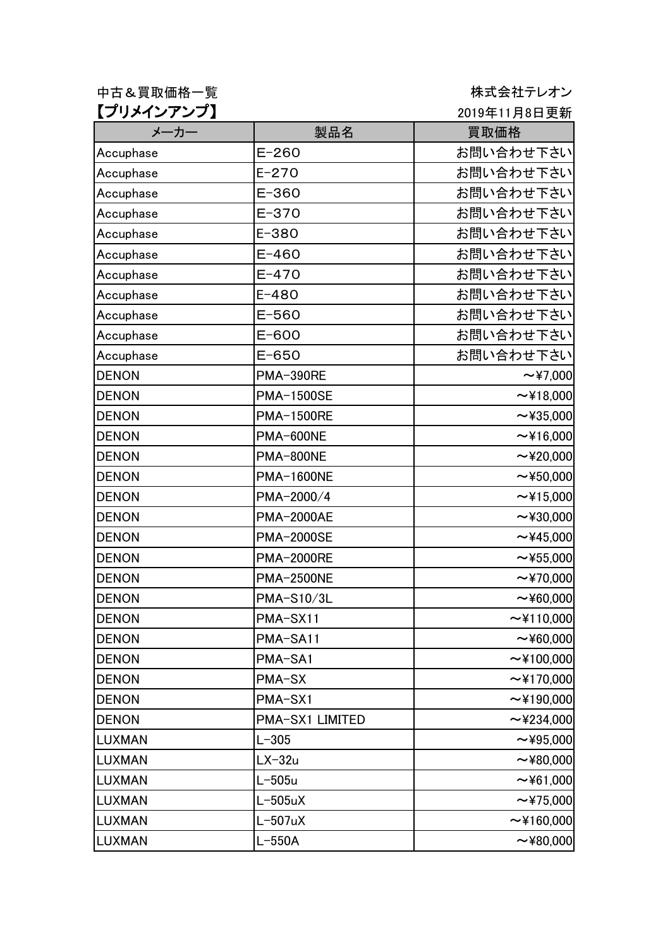中古&買取価格一覧 またはないない はんない おおしゃ 株式会社テレオン 【プリメインアンプ】

2019年11月8日更新

| メーカー          | 製品名               | 買取価格            |
|---------------|-------------------|-----------------|
| Accuphase     | $E - 260$         | お問い合わせ下さい       |
| Accuphase     | $E - 270$         | お問い合わせ下さい       |
| Accuphase     | $E - 360$         | お問い合わせ下さい       |
| Accuphase     | $E - 370$         | お問い合わせ下さい       |
| Accuphase     | $E - 380$         | お問い合わせ下さい       |
| Accuphase     | $E - 460$         | お問い合わせ下さい       |
| Accuphase     | $E - 470$         | お問い合わせ下さい       |
| Accuphase     | $E - 480$         | お問い合わせ下さい       |
| Accuphase     | $E - 560$         | お問い合わせ下さい       |
| Accuphase     | E-600             | お問い合わせ下さい       |
| Accuphase     | $E - 650$         | お問い合わせ下さい       |
| <b>DENON</b>  | <b>PMA-390RE</b>  | $\sim$ ¥7,000   |
| <b>DENON</b>  | <b>PMA-1500SE</b> | ~18,000         |
| <b>DENON</b>  | <b>PMA-1500RE</b> | $\sim$ ¥35,000  |
| <b>DENON</b>  | PMA-600NE         | ~16,000         |
| <b>DENON</b>  | PMA-800NE         | $\sim$ ¥20,000  |
| <b>DENON</b>  | <b>PMA-1600NE</b> | $\sim$ ¥50,000  |
| <b>DENON</b>  | PMA-2000/4        | $\sim$ ¥15,000  |
| <b>DENON</b>  | <b>PMA-2000AE</b> | $\sim$ ¥30,000  |
| <b>DENON</b>  | <b>PMA-2000SE</b> | $\sim$ ¥45,000  |
| <b>DENON</b>  | <b>PMA-2000RE</b> | $\sim$ ¥55,000  |
| <b>DENON</b>  | <b>PMA-2500NE</b> | $\sim$ ¥70,000  |
| <b>DENON</b>  | <b>PMA-S10/3L</b> | $\sim$ ¥60,000  |
| <b>DENON</b>  | PMA-SX11          | ~110,000        |
| <b>DENON</b>  | PMA-SA11          | ~100,000        |
| <b>DENON</b>  | PMA-SA1           | $\sim$ ¥100,000 |
| <b>DENON</b>  | PMA-SX            | $\sim$ ¥170,000 |
| <b>DENON</b>  | PMA-SX1           | $\sim$ ¥190,000 |
| <b>DENON</b>  | PMA-SX1 LIMITED   | $\sim$ ¥234,000 |
| <b>LUXMAN</b> | $L - 305$         | $\sim$ ¥95,000  |
| <b>LUXMAN</b> | $LX-32u$          | $\sim$ ¥80,000  |
| <b>LUXMAN</b> | $L-505u$          | $\sim$ ¥61,000  |
| <b>LUXMAN</b> | $L-505uX$         | $\sim$ ¥75,000  |
| <b>LUXMAN</b> | $L-507uX$         | $\sim$ ¥160,000 |
| <b>LUXMAN</b> | $L-550A$          | ~100,000        |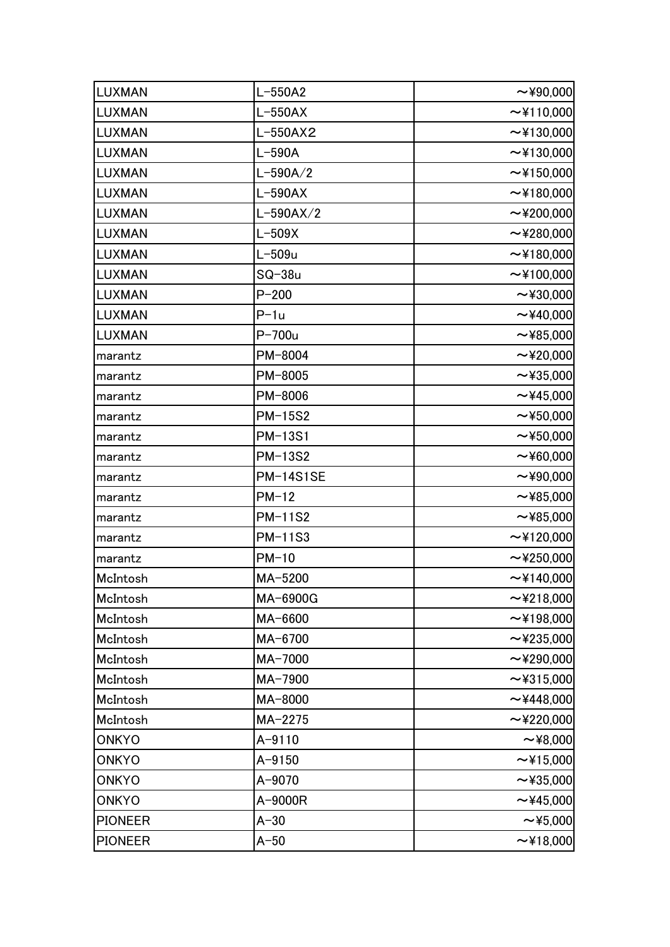| <b>LUXMAN</b>  | $L-550A2$        | $\sim$ ¥90,000  |
|----------------|------------------|-----------------|
| <b>LUXMAN</b>  | $L-550AX$        | ~110,000        |
| <b>LUXMAN</b>  | $L-550AX2$       | ~130,000        |
| <b>LUXMAN</b>  | $L-590A$         | ~130,000        |
| <b>LUXMAN</b>  | $L-590A/2$       | ~150,000        |
| <b>LUXMAN</b>  | $L-590AX$        | ~180,000        |
| <b>LUXMAN</b>  | $L-590AX/2$      | $\sim$ ¥200,000 |
| <b>LUXMAN</b>  | $L-509X$         | $\sim$ ¥280,000 |
| <b>LUXMAN</b>  | $L-509u$         | ~180,000        |
| <b>LUXMAN</b>  | $SQ-38u$         | ~100,000        |
| <b>LUXMAN</b>  | $P - 200$        | $\sim$ ¥30,000  |
| <b>LUXMAN</b>  | $P-1u$           | $\sim$ ¥40,000  |
| <b>LUXMAN</b>  | $P-700u$         | $\sim$ ¥85,000  |
| marantz        | PM-8004          | $\sim$ ¥20,000  |
| marantz        | PM-8005          | $\sim$ ¥35,000  |
| marantz        | PM-8006          | $\sim$ ¥45,000  |
| marantz        | <b>PM-15S2</b>   | $\sim$ ¥50,000  |
| marantz        | PM-13S1          | $\sim$ ¥50,000  |
| marantz        | <b>PM-13S2</b>   | $\sim$ ¥60,000  |
| marantz        | <b>PM-14S1SE</b> | $\sim$ ¥90,000  |
| marantz        | $PM-12$          | $\sim$ ¥85,000  |
| marantz        | <b>PM-11S2</b>   | $\sim$ ¥85,000  |
| marantz        | <b>PM-11S3</b>   | $\sim$ ¥120,000 |
| marantz        | $PM-10$          | $\sim$ ¥250,000 |
| McIntosh       | MA-5200          | $\sim$ ¥140,000 |
| McIntosh       | MA-6900G         | $\sim$ ¥218,000 |
| McIntosh       | MA-6600          | ~198,000        |
| McIntosh       | MA-6700          | $\sim$ ¥235,000 |
| McIntosh       | MA-7000          | $\sim$ ¥290,000 |
| McIntosh       | MA-7900          | $\sim$ ¥315,000 |
| McIntosh       | MA-8000          | ~1448,000       |
| McIntosh       | $MA-2275$        | $\sim$ ¥220,000 |
| <b>ONKYO</b>   | $A - 9110$       | $\sim$ ¥8,000   |
| <b>ONKYO</b>   | $A - 9150$       | ~15,000         |
| <b>ONKYO</b>   | A-9070           | $\sim$ ¥35,000  |
| <b>ONKYO</b>   | A-9000R          | $\sim$ ¥45,000  |
| <b>PIONEER</b> | $A-30$           | $\sim$ ¥5,000   |
| <b>PIONEER</b> | $A-50$           | ~18,000         |